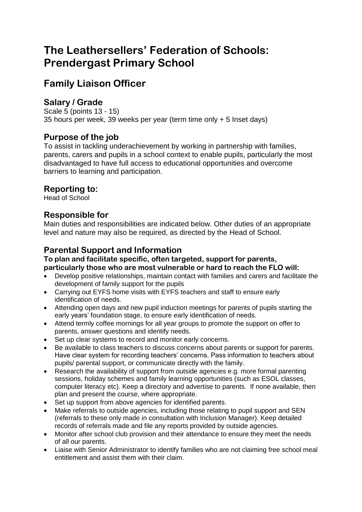# **The Leathersellers' Federation of Schools: Prendergast Primary School**

# **Family Liaison Officer**

## **Salary / Grade**

Scale 5 (points 13 - 15) 35 hours per week, 39 weeks per year (term time only + 5 Inset days)

#### **Purpose of the job**

To assist in tackling underachievement by working in partnership with families, parents, carers and pupils in a school context to enable pupils, particularly the most disadvantaged to have full access to educational opportunities and overcome barriers to learning and participation.

## **Reporting to:**

Head of School

#### **Responsible for**

Main duties and responsibilities are indicated below. Other duties of an appropriate level and nature may also be required, as directed by the Head of School.

## **Parental Support and Information**

#### **To plan and facilitate specific, often targeted, support for parents, particularly those who are most vulnerable or hard to reach the FLO will:**

- Develop positive relationships, maintain contact with families and carers and facilitate the development of family support for the pupils
- Carrying out EYFS home visits with EYFS teachers and staff to ensure early identification of needs.
- Attending open days and new pupil induction meetings for parents of pupils starting the early years' foundation stage, to ensure early identification of needs.
- Attend termly coffee mornings for all year groups to promote the support on offer to parents, answer questions and identify needs.
- Set up clear systems to record and monitor early concerns.
- Be available to class teachers to discuss concerns about parents or support for parents. Have clear system for recording teachers' concerns. Pass information to teachers about pupils/ parental support, or communicate directly with the family.
- Research the availability of support from outside agencies e.g. more formal parenting sessions, holiday schemes and family learning opportunities (such as ESOL classes, computer literacy etc). Keep a directory and advertise to parents. If none available, then plan and present the course, where appropriate.
- Set up support from above agencies for identified parents.
- Make referrals to outside agencies, including those relating to pupil support and SEN (referrals to these only made in consultation with Inclusion Manager). Keep detailed records of referrals made and file any reports provided by outside agencies.
- Monitor after school club provision and their attendance to ensure they meet the needs of all our parents.
- Liaise with Senior Administrator to identify families who are not claiming free school meal entitlement and assist them with their claim.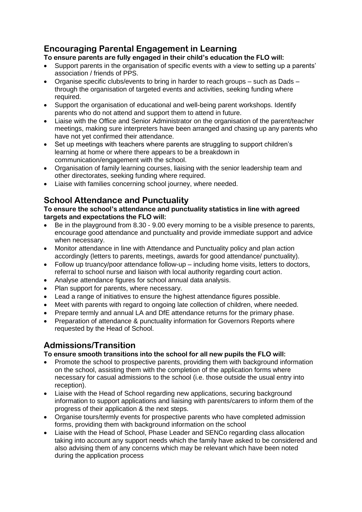## **Encouraging Parental Engagement in Learning**

# **To ensure parents are fully engaged in their child's education the FLO will:**<br>• Support parents in the organisation of specific events with a view to setting un

- Support parents in the organisation of specific events with a view to setting up a parents' association / friends of PPS.
- $\bullet$  Organise specific clubs/events to bring in harder to reach groups such as Dads through the organisation of targeted events and activities, seeking funding where required.
- Support the organisation of educational and well-being parent workshops. Identify parents who do not attend and support them to attend in future.
- Liaise with the Office and Senior Administrator on the organisation of the parent/teacher meetings, making sure interpreters have been arranged and chasing up any parents who have not yet confirmed their attendance.
- Set up meetings with teachers where parents are struggling to support children's learning at home or where there appears to be a breakdown in communication/engagement with the school.
- Organisation of family learning courses, liaising with the senior leadership team and other directorates, seeking funding where required.
- Liaise with families concerning school journey, where needed.

## **School Attendance and Punctuality**

#### **To ensure the school's attendance and punctuality statistics in line with agreed targets and expectations the FLO will:**

- Be in the playground from 8.30 9.00 every morning to be a visible presence to parents, encourage good attendance and punctuality and provide immediate support and advice when necessary.
- Monitor attendance in line with Attendance and Punctuality policy and plan action accordingly (letters to parents, meetings, awards for good attendance/ punctuality).
- Follow up truancy/poor attendance follow-up including home visits, letters to doctors, referral to school nurse and liaison with local authority regarding court action.
- Analyse attendance figures for school annual data analysis.
- Plan support for parents, where necessary.
- Lead a range of initiatives to ensure the highest attendance figures possible.
- Meet with parents with regard to ongoing late collection of children, where needed.
- Prepare termly and annual LA and DfE attendance returns for the primary phase.
- Preparation of attendance & punctuality information for Governors Reports where requested by the Head of School.

#### **Admissions/Transition**

#### **To ensure smooth transitions into the school for all new pupils the FLO will:**

- Promote the school to prospective parents, providing them with background information on the school, assisting them with the completion of the application forms where necessary for casual admissions to the school (i.e. those outside the usual entry into reception).
- Liaise with the Head of School regarding new applications, securing background information to support applications and liaising with parents/carers to inform them of the progress of their application & the next steps.
- Organise tours/termly events for prospective parents who have completed admission forms, providing them with background information on the school
- Liaise with the Head of School, Phase Leader and SENCo regarding class allocation taking into account any support needs which the family have asked to be considered and also advising them of any concerns which may be relevant which have been noted during the application process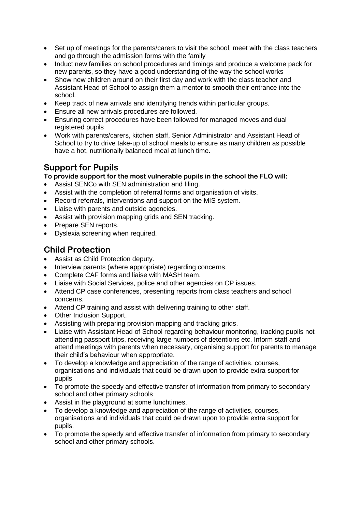- Set up of meetings for the parents/carers to visit the school, meet with the class teachers and go through the admission forms with the family
- Induct new families on school procedures and timings and produce a welcome pack for new parents, so they have a good understanding of the way the school works
- Show new children around on their first day and work with the class teacher and Assistant Head of School to assign them a mentor to smooth their entrance into the school.
- Keep track of new arrivals and identifying trends within particular groups.
- Ensure all new arrivals procedures are followed.
- Ensuring correct procedures have been followed for managed moves and dual registered pupils
- Work with parents/carers, kitchen staff, Senior Administrator and Assistant Head of School to try to drive take-up of school meals to ensure as many children as possible have a hot, nutritionally balanced meal at lunch time.

## **Support for Pupils**

**To provide support for the most vulnerable pupils in the school the FLO will:**

- Assist SENCo with SEN administration and filing.
- Assist with the completion of referral forms and organisation of visits.
- Record referrals, interventions and support on the MIS system.
- Liaise with parents and outside agencies.
- Assist with provision mapping grids and SEN tracking.
- Prepare SEN reports.
- Dyslexia screening when required.

## **Child Protection**

- Assist as Child Protection deputy.
- Interview parents (where appropriate) regarding concerns.
- Complete CAF forms and liaise with MASH team.
- Liaise with Social Services, police and other agencies on CP issues.
- Attend CP case conferences, presenting reports from class teachers and school concerns.
- Attend CP training and assist with delivering training to other staff.
- Other Inclusion Support.
- Assisting with preparing provision mapping and tracking grids.
- Liaise with Assistant Head of School regarding behaviour monitoring, tracking pupils not attending passport trips, receiving large numbers of detentions etc. Inform staff and attend meetings with parents when necessary, organising support for parents to manage their child's behaviour when appropriate.
- To develop a knowledge and appreciation of the range of activities, courses, organisations and individuals that could be drawn upon to provide extra support for pupils
- To promote the speedy and effective transfer of information from primary to secondary school and other primary schools
- Assist in the playground at some lunchtimes.
- To develop a knowledge and appreciation of the range of activities, courses, organisations and individuals that could be drawn upon to provide extra support for pupils.
- To promote the speedy and effective transfer of information from primary to secondary school and other primary schools.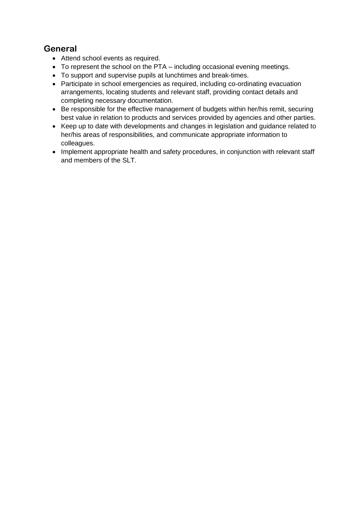## **General**

- Attend school events as required.
- To represent the school on the PTA including occasional evening meetings.
- To support and supervise pupils at lunchtimes and break-times.
- Participate in school emergencies as required, including co-ordinating evacuation arrangements, locating students and relevant staff, providing contact details and completing necessary documentation.
- Be responsible for the effective management of budgets within her/his remit, securing best value in relation to products and services provided by agencies and other parties.
- Keep up to date with developments and changes in legislation and guidance related to her/his areas of responsibilities, and communicate appropriate information to colleagues.
- Implement appropriate health and safety procedures, in conjunction with relevant staff and members of the SLT.